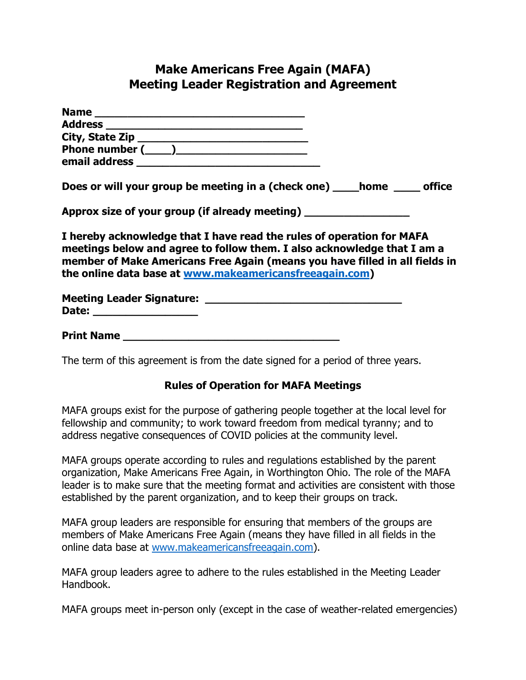## **Make Americans Free Again (MAFA) Meeting Leader Registration and Agreement**

| Does or will your group be meeting in a (check one) _____ home _____ office                                                                                                                                                                                                                |
|--------------------------------------------------------------------------------------------------------------------------------------------------------------------------------------------------------------------------------------------------------------------------------------------|
| Approx size of your group (if already meeting) _________________________________                                                                                                                                                                                                           |
| I hereby acknowledge that I have read the rules of operation for MAFA<br>meetings below and agree to follow them. I also acknowledge that I am a<br>member of Make Americans Free Again (means you have filled in all fields in<br>the online data base at www.makeamericansfreeagain.com) |
| Date: ___________________                                                                                                                                                                                                                                                                  |
| Print Name                                                                                                                                                                                                                                                                                 |

The term of this agreement is from the date signed for a period of three years.

## **Rules of Operation for MAFA Meetings**

MAFA groups exist for the purpose of gathering people together at the local level for fellowship and community; to work toward freedom from medical tyranny; and to address negative consequences of COVID policies at the community level.

MAFA groups operate according to rules and regulations established by the parent organization, Make Americans Free Again, in Worthington Ohio. The role of the MAFA leader is to make sure that the meeting format and activities are consistent with those established by the parent organization, and to keep their groups on track.

MAFA group leaders are responsible for ensuring that members of the groups are members of Make Americans Free Again (means they have filled in all fields in the online data base at [www.makeamericansfreeagain.com\)](http://www.makeamericansfreeagain.com/).

MAFA group leaders agree to adhere to the rules established in the Meeting Leader Handbook.

MAFA groups meet in-person only (except in the case of weather-related emergencies)